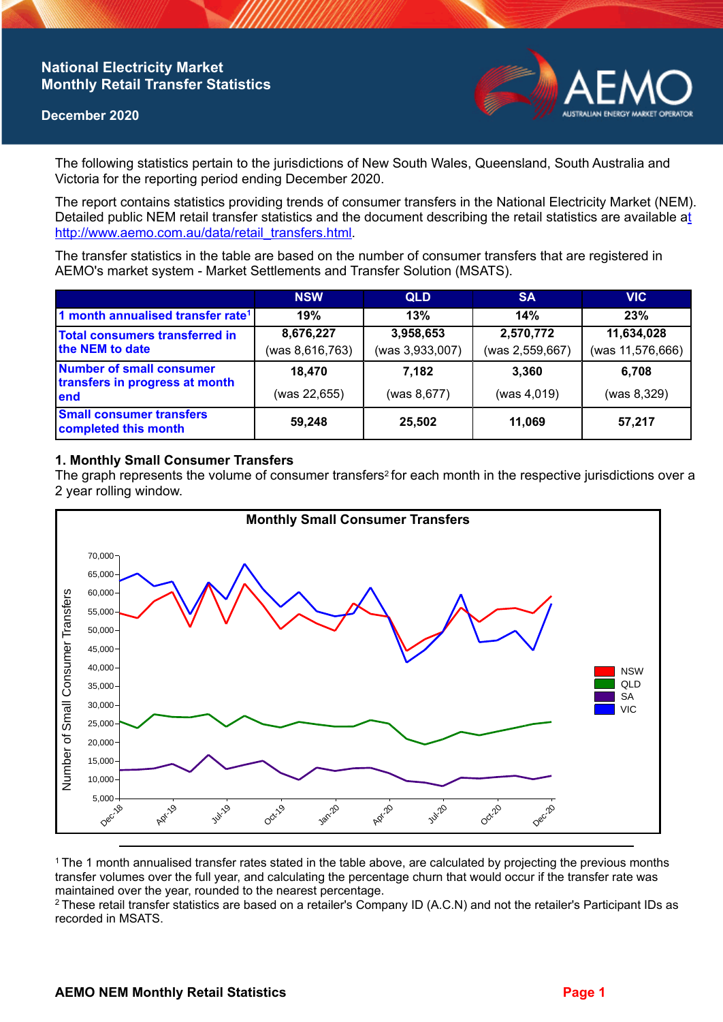## **National Electricity Market Monthly Retail Transfer Statistics**

#### **December 2020**



The following statistics pertain to the jurisdictions of New South Wales, Queensland, South Australia and Victoria for the reporting period ending December 2020.

The report contains statistics providing trends of consumer transfers in the National Electricity Market (NEM). Detailed public NEM retail transfer statistics and the document describing the retail statistics are available a[t](http://www.aemo.com.au/data/retail_transfers.html)  http://www.aemo.com.au/data/retail\_transfers.html

The transfer statistics in the table are based on the number of consumer transfers that are registered in AEMO's market system - Market Settlements and Transfer Solution (MSATS).

|                                                                    | <b>NSW</b>      | <b>QLD</b>      | <b>SA</b>       | <b>VIC</b>       |
|--------------------------------------------------------------------|-----------------|-----------------|-----------------|------------------|
| 1 month annualised transfer rate <sup>1</sup>                      | 19%             | 13%             | 14%             | 23%              |
| <b>Total consumers transferred in</b><br>the NEM to date           | 8,676,227       | 3,958,653       | 2,570,772       | 11,634,028       |
|                                                                    | (was 8,616,763) | (was 3,933,007) | (was 2,559,667) | (was 11,576,666) |
| Number of small consumer<br>transfers in progress at month<br>lend | 18.470          | 7,182           | 3.360           | 6.708            |
|                                                                    | (was 22,655)    | (was 8,677)     | (was 4,019)     | (was 8,329)      |
| <b>Small consumer transfers</b><br>completed this month            | 59,248          | 25,502          | 11,069          | 57,217           |

## **1. Monthly Small Consumer Transfers**

The graph represents the volume of consumer transfers<sup>2</sup> for each month in the respective jurisdictions over a 2 year rolling window.



<sup>1</sup>The 1 month annualised transfer rates stated in the table above, are calculated by projecting the previous months transfer volumes over the full year, and calculating the percentage churn that would occur if the transfer rate was maintained over the year, rounded to the nearest percentage.

<sup>2</sup> These retail transfer statistics are based on a retailer's Company ID (A.C.N) and not the retailer's Participant IDs as recorded in MSATS.